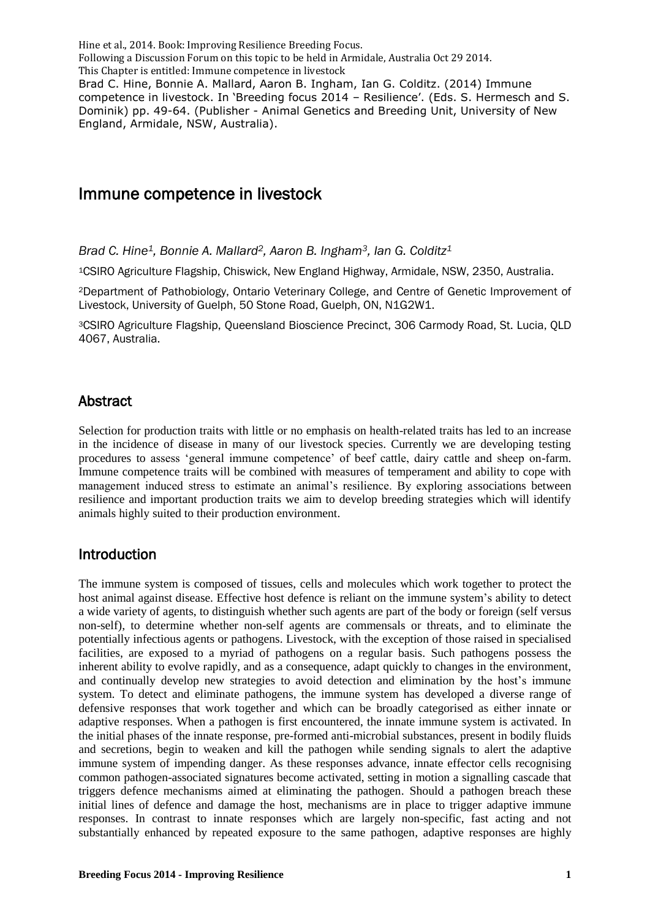# Immune competence in livestock

*Brad C. Hine1, Bonnie A. Mallard2, Aaron B. Ingham3, Ian G. Colditz<sup>1</sup>*

<sup>1</sup>CSIRO Agriculture Flagship, Chiswick, New England Highway, Armidale, NSW, 2350, Australia.

<sup>2</sup>Department of Pathobiology, Ontario Veterinary College, and Centre of Genetic Improvement of Livestock, University of Guelph, 50 Stone Road, Guelph, ON, N1G2W1.

<sup>3</sup>CSIRO Agriculture Flagship, Queensland Bioscience Precinct, 306 Carmody Road, St. Lucia, QLD 4067, Australia.

### Abstract

Selection for production traits with little or no emphasis on health-related traits has led to an increase in the incidence of disease in many of our livestock species. Currently we are developing testing procedures to assess 'general immune competence' of beef cattle, dairy cattle and sheep on-farm. Immune competence traits will be combined with measures of temperament and ability to cope with management induced stress to estimate an animal's resilience. By exploring associations between resilience and important production traits we aim to develop breeding strategies which will identify animals highly suited to their production environment.

### Introduction

The immune system is composed of tissues, cells and molecules which work together to protect the host animal against disease. Effective host defence is reliant on the immune system's ability to detect a wide variety of agents, to distinguish whether such agents are part of the body or foreign (self versus non-self), to determine whether non-self agents are commensals or threats, and to eliminate the potentially infectious agents or pathogens. Livestock, with the exception of those raised in specialised facilities, are exposed to a myriad of pathogens on a regular basis. Such pathogens possess the inherent ability to evolve rapidly, and as a consequence, adapt quickly to changes in the environment, and continually develop new strategies to avoid detection and elimination by the host's immune system. To detect and eliminate pathogens, the immune system has developed a diverse range of defensive responses that work together and which can be broadly categorised as either innate or adaptive responses. When a pathogen is first encountered, the innate immune system is activated. In the initial phases of the innate response, pre-formed anti-microbial substances, present in bodily fluids and secretions, begin to weaken and kill the pathogen while sending signals to alert the adaptive immune system of impending danger. As these responses advance, innate effector cells recognising common pathogen-associated signatures become activated, setting in motion a signalling cascade that triggers defence mechanisms aimed at eliminating the pathogen. Should a pathogen breach these initial lines of defence and damage the host, mechanisms are in place to trigger adaptive immune responses. In contrast to innate responses which are largely non-specific, fast acting and not substantially enhanced by repeated exposure to the same pathogen, adaptive responses are highly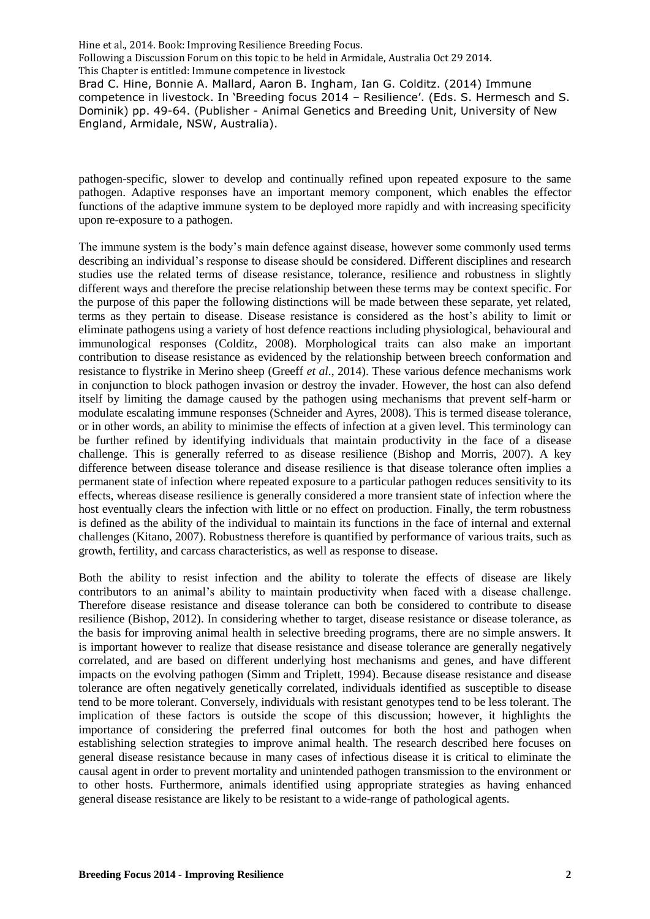competence in livestock. In 'Breeding focus 2014 – Resilience'. (Eds. S. Hermesch and S. Dominik) pp. 49-64. (Publisher - Animal Genetics and Breeding Unit, University of New England, Armidale, NSW, Australia).

pathogen-specific, slower to develop and continually refined upon repeated exposure to the same pathogen. Adaptive responses have an important memory component, which enables the effector functions of the adaptive immune system to be deployed more rapidly and with increasing specificity upon re-exposure to a pathogen.

The immune system is the body's main defence against disease, however some commonly used terms describing an individual's response to disease should be considered. Different disciplines and research studies use the related terms of disease resistance, tolerance, resilience and robustness in slightly different ways and therefore the precise relationship between these terms may be context specific. For the purpose of this paper the following distinctions will be made between these separate, yet related, terms as they pertain to disease. Disease resistance is considered as the host's ability to limit or eliminate pathogens using a variety of host defence reactions including physiological, behavioural and immunological responses (Colditz, 2008). Morphological traits can also make an important contribution to disease resistance as evidenced by the relationship between breech conformation and resistance to flystrike in Merino sheep (Greeff *et al*., 2014). These various defence mechanisms work in conjunction to block pathogen invasion or destroy the invader. However, the host can also defend itself by limiting the damage caused by the pathogen using mechanisms that prevent self-harm or modulate escalating immune responses (Schneider and Ayres, 2008). This is termed disease tolerance, or in other words, an ability to minimise the effects of infection at a given level. This terminology can be further refined by identifying individuals that maintain productivity in the face of a disease challenge. This is generally referred to as disease resilience (Bishop and Morris, 2007). A key difference between disease tolerance and disease resilience is that disease tolerance often implies a permanent state of infection where repeated exposure to a particular pathogen reduces sensitivity to its effects, whereas disease resilience is generally considered a more transient state of infection where the host eventually clears the infection with little or no effect on production. Finally, the term robustness is defined as the ability of the individual to maintain its functions in the face of internal and external challenges (Kitano, 2007). Robustness therefore is quantified by performance of various traits, such as growth, fertility, and carcass characteristics, as well as response to disease.

Both the ability to resist infection and the ability to tolerate the effects of disease are likely contributors to an animal's ability to maintain productivity when faced with a disease challenge. Therefore disease resistance and disease tolerance can both be considered to contribute to disease resilience (Bishop, 2012). In considering whether to target, disease resistance or disease tolerance, as the basis for improving animal health in selective breeding programs, there are no simple answers. It is important however to realize that disease resistance and disease tolerance are generally negatively correlated, and are based on different underlying host mechanisms and genes, and have different impacts on the evolving pathogen (Simm and Triplett, 1994). Because disease resistance and disease tolerance are often negatively genetically correlated, individuals identified as susceptible to disease tend to be more tolerant. Conversely, individuals with resistant genotypes tend to be less tolerant. The implication of these factors is outside the scope of this discussion; however, it highlights the importance of considering the preferred final outcomes for both the host and pathogen when establishing selection strategies to improve animal health. The research described here focuses on general disease resistance because in many cases of infectious disease it is critical to eliminate the causal agent in order to prevent mortality and unintended pathogen transmission to the environment or to other hosts. Furthermore, animals identified using appropriate strategies as having enhanced general disease resistance are likely to be resistant to a wide-range of pathological agents.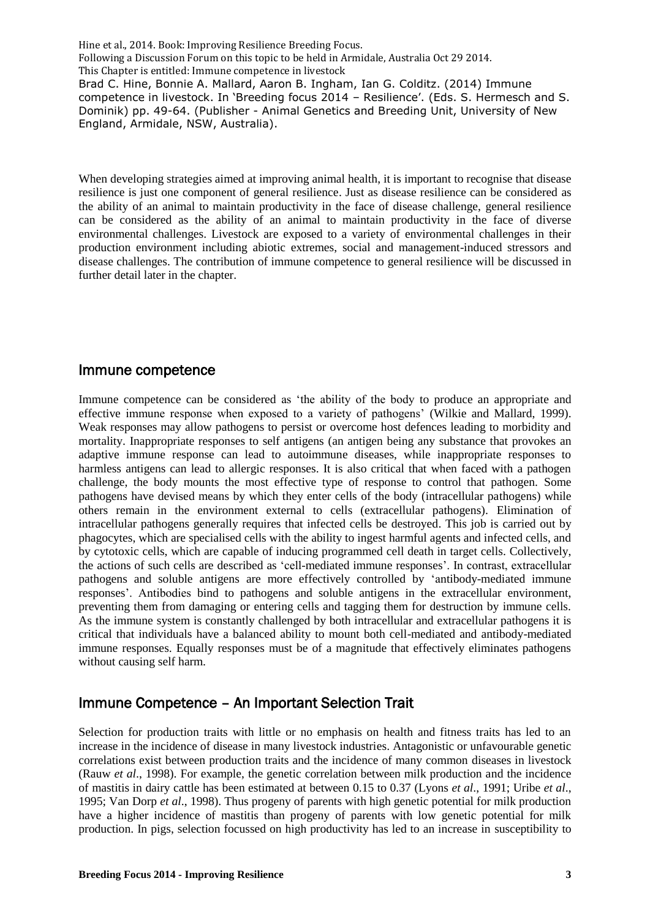When developing strategies aimed at improving animal health, it is important to recognise that disease resilience is just one component of general resilience. Just as disease resilience can be considered as the ability of an animal to maintain productivity in the face of disease challenge, general resilience can be considered as the ability of an animal to maintain productivity in the face of diverse environmental challenges. Livestock are exposed to a variety of environmental challenges in their production environment including abiotic extremes, social and management-induced stressors and disease challenges. The contribution of immune competence to general resilience will be discussed in further detail later in the chapter.

### Immune competence

Immune competence can be considered as 'the ability of the body to produce an appropriate and effective immune response when exposed to a variety of pathogens' (Wilkie and Mallard, 1999). Weak responses may allow pathogens to persist or overcome host defences leading to morbidity and mortality. Inappropriate responses to self antigens (an antigen being any substance that provokes an adaptive immune response can lead to autoimmune diseases, while inappropriate responses to harmless antigens can lead to allergic responses. It is also critical that when faced with a pathogen challenge, the body mounts the most effective type of response to control that pathogen. Some pathogens have devised means by which they enter cells of the body (intracellular pathogens) while others remain in the environment external to cells (extracellular pathogens). Elimination of intracellular pathogens generally requires that infected cells be destroyed. This job is carried out by phagocytes, which are specialised cells with the ability to ingest harmful agents and infected cells, and by cytotoxic cells, which are capable of inducing programmed cell death in target cells. Collectively, the actions of such cells are described as 'cell-mediated immune responses'. In contrast, extracellular pathogens and soluble antigens are more effectively controlled by 'antibody-mediated immune responses'. Antibodies bind to pathogens and soluble antigens in the extracellular environment, preventing them from damaging or entering cells and tagging them for destruction by immune cells. As the immune system is constantly challenged by both intracellular and extracellular pathogens it is critical that individuals have a balanced ability to mount both cell-mediated and antibody-mediated immune responses. Equally responses must be of a magnitude that effectively eliminates pathogens without causing self harm.

# Immune Competence – An Important Selection Trait

Selection for production traits with little or no emphasis on health and fitness traits has led to an increase in the incidence of disease in many livestock industries. Antagonistic or unfavourable genetic correlations exist between production traits and the incidence of many common diseases in livestock (Rauw *et al*., 1998). For example, the genetic correlation between milk production and the incidence of mastitis in dairy cattle has been estimated at between 0.15 to 0.37 (Lyons *et al*., 1991; Uribe *et al*., 1995; Van Dorp *et al*., 1998). Thus progeny of parents with high genetic potential for milk production have a higher incidence of mastitis than progeny of parents with low genetic potential for milk production. In pigs, selection focussed on high productivity has led to an increase in susceptibility to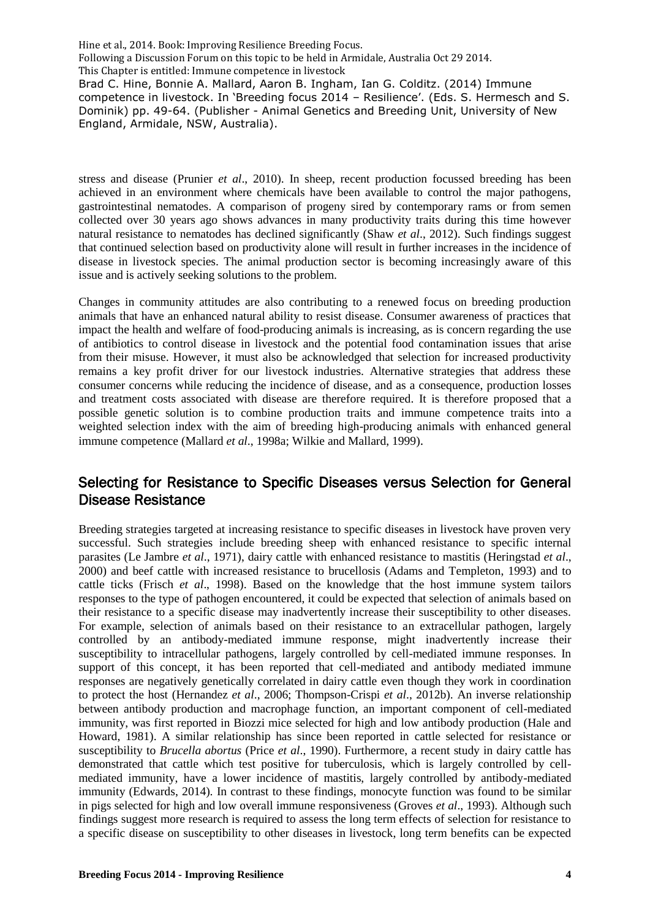stress and disease (Prunier *et al*., 2010). In sheep, recent production focussed breeding has been achieved in an environment where chemicals have been available to control the major pathogens, gastrointestinal nematodes. A comparison of progeny sired by contemporary rams or from semen collected over 30 years ago shows advances in many productivity traits during this time however natural resistance to nematodes has declined significantly (Shaw *et al*., 2012). Such findings suggest that continued selection based on productivity alone will result in further increases in the incidence of disease in livestock species. The animal production sector is becoming increasingly aware of this issue and is actively seeking solutions to the problem.

Changes in community attitudes are also contributing to a renewed focus on breeding production animals that have an enhanced natural ability to resist disease. Consumer awareness of practices that impact the health and welfare of food-producing animals is increasing, as is concern regarding the use of antibiotics to control disease in livestock and the potential food contamination issues that arise from their misuse. However, it must also be acknowledged that selection for increased productivity remains a key profit driver for our livestock industries. Alternative strategies that address these consumer concerns while reducing the incidence of disease, and as a consequence, production losses and treatment costs associated with disease are therefore required. It is therefore proposed that a possible genetic solution is to combine production traits and immune competence traits into a weighted selection index with the aim of breeding high-producing animals with enhanced general immune competence (Mallard *et al*., 1998a; Wilkie and Mallard, 1999).

# Selecting for Resistance to Specific Diseases versus Selection for General Disease Resistance

Breeding strategies targeted at increasing resistance to specific diseases in livestock have proven very successful. Such strategies include breeding sheep with enhanced resistance to specific internal parasites (Le Jambre *et al*., 1971), dairy cattle with enhanced resistance to mastitis (Heringstad *et al*., 2000) and beef cattle with increased resistance to brucellosis (Adams and Templeton, 1993) and to cattle ticks (Frisch *et al*., 1998). Based on the knowledge that the host immune system tailors responses to the type of pathogen encountered, it could be expected that selection of animals based on their resistance to a specific disease may inadvertently increase their susceptibility to other diseases. For example, selection of animals based on their resistance to an extracellular pathogen, largely controlled by an antibody-mediated immune response, might inadvertently increase their susceptibility to intracellular pathogens, largely controlled by cell-mediated immune responses. In support of this concept, it has been reported that cell-mediated and antibody mediated immune responses are negatively genetically correlated in dairy cattle even though they work in coordination to protect the host (Hernandez *et al*., 2006; Thompson-Crispi *et al*., 2012b). An inverse relationship between antibody production and macrophage function, an important component of cell-mediated immunity, was first reported in Biozzi mice selected for high and low antibody production (Hale and Howard, 1981). A similar relationship has since been reported in cattle selected for resistance or susceptibility to *Brucella abortus* (Price *et al*., 1990). Furthermore, a recent study in dairy cattle has demonstrated that cattle which test positive for tuberculosis, which is largely controlled by cellmediated immunity, have a lower incidence of mastitis, largely controlled by antibody-mediated immunity (Edwards, 2014). In contrast to these findings, monocyte function was found to be similar in pigs selected for high and low overall immune responsiveness (Groves *et al*., 1993). Although such findings suggest more research is required to assess the long term effects of selection for resistance to a specific disease on susceptibility to other diseases in livestock, long term benefits can be expected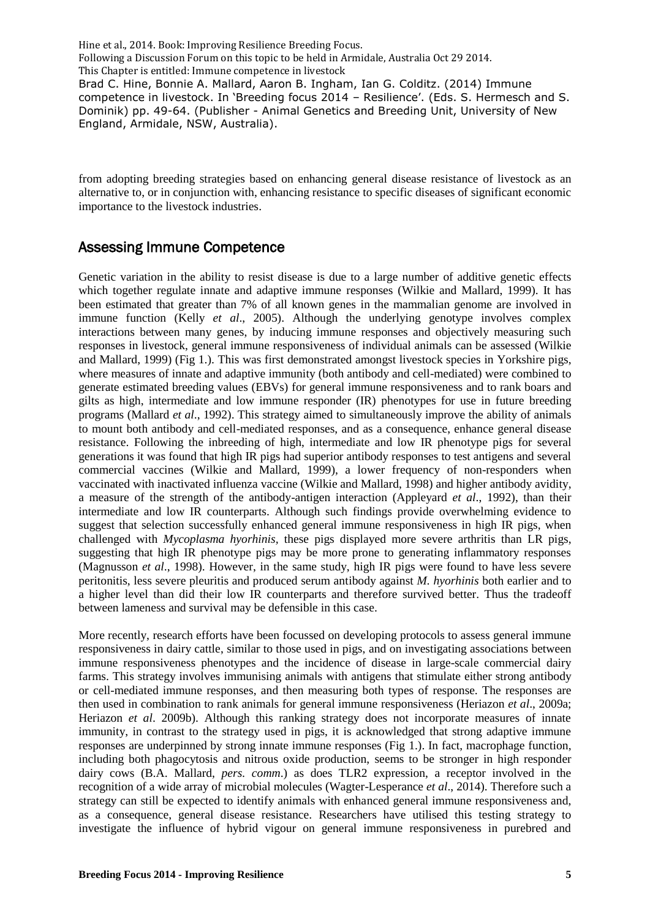competence in livestock. In 'Breeding focus 2014 – Resilience'. (Eds. S. Hermesch and S. Dominik) pp. 49-64. (Publisher - Animal Genetics and Breeding Unit, University of New England, Armidale, NSW, Australia).

from adopting breeding strategies based on enhancing general disease resistance of livestock as an alternative to, or in conjunction with, enhancing resistance to specific diseases of significant economic importance to the livestock industries.

### Assessing Immune Competence

Genetic variation in the ability to resist disease is due to a large number of additive genetic effects which together regulate innate and adaptive immune responses (Wilkie and Mallard, 1999). It has been estimated that greater than 7% of all known genes in the mammalian genome are involved in immune function (Kelly *et al*., 2005). Although the underlying genotype involves complex interactions between many genes, by inducing immune responses and objectively measuring such responses in livestock, general immune responsiveness of individual animals can be assessed (Wilkie and Mallard, 1999) (Fig 1.). This was first demonstrated amongst livestock species in Yorkshire pigs, where measures of innate and adaptive immunity (both antibody and cell-mediated) were combined to generate estimated breeding values (EBVs) for general immune responsiveness and to rank boars and gilts as high, intermediate and low immune responder (IR) phenotypes for use in future breeding programs (Mallard *et al*., 1992). This strategy aimed to simultaneously improve the ability of animals to mount both antibody and cell-mediated responses, and as a consequence, enhance general disease resistance. Following the inbreeding of high, intermediate and low IR phenotype pigs for several generations it was found that high IR pigs had superior antibody responses to test antigens and several commercial vaccines (Wilkie and Mallard, 1999), a lower frequency of non-responders when vaccinated with inactivated influenza vaccine (Wilkie and Mallard, 1998) and higher antibody avidity, a measure of the strength of the antibody-antigen interaction (Appleyard *et al*., 1992), than their intermediate and low IR counterparts. Although such findings provide overwhelming evidence to suggest that selection successfully enhanced general immune responsiveness in high IR pigs, when challenged with *Mycoplasma hyorhinis,* these pigs displayed more severe arthritis than LR pigs, suggesting that high IR phenotype pigs may be more prone to generating inflammatory responses (Magnusson *et al*., 1998). However, in the same study, high IR pigs were found to have less severe peritonitis, less severe pleuritis and produced serum antibody against *M. hyorhinis* both earlier and to a higher level than did their low IR counterparts and therefore survived better. Thus the tradeoff between lameness and survival may be defensible in this case.

More recently, research efforts have been focussed on developing protocols to assess general immune responsiveness in dairy cattle, similar to those used in pigs, and on investigating associations between immune responsiveness phenotypes and the incidence of disease in large-scale commercial dairy farms. This strategy involves immunising animals with antigens that stimulate either strong antibody or cell-mediated immune responses, and then measuring both types of response. The responses are then used in combination to rank animals for general immune responsiveness (Heriazon *et al*., 2009a; Heriazon *et al*. 2009b). Although this ranking strategy does not incorporate measures of innate immunity, in contrast to the strategy used in pigs, it is acknowledged that strong adaptive immune responses are underpinned by strong innate immune responses (Fig 1.). In fact, macrophage function, including both phagocytosis and nitrous oxide production, seems to be stronger in high responder dairy cows (B.A. Mallard, *pers. comm*.) as does TLR2 expression, a receptor involved in the recognition of a wide array of microbial molecules (Wagter-Lesperance *et al*., 2014). Therefore such a strategy can still be expected to identify animals with enhanced general immune responsiveness and, as a consequence, general disease resistance. Researchers have utilised this testing strategy to investigate the influence of hybrid vigour on general immune responsiveness in purebred and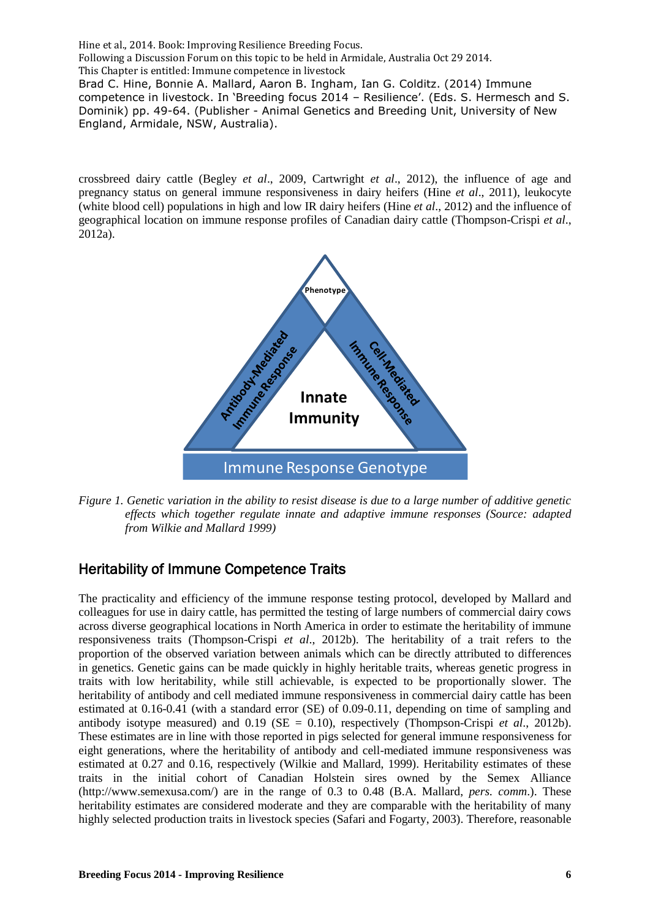crossbreed dairy cattle (Begley *et al*., 2009, Cartwright *et al*., 2012), the influence of age and pregnancy status on general immune responsiveness in dairy heifers (Hine *et al*., 2011), leukocyte (white blood cell) populations in high and low IR dairy heifers (Hine *et al*., 2012) and the influence of geographical location on immune response profiles of Canadian dairy cattle (Thompson-Crispi *et al*., 2012a).



*Figure 1. Genetic variation in the ability to resist disease is due to a large number of additive genetic effects which together regulate innate and adaptive immune responses (Source: adapted from Wilkie and Mallard 1999)*

# Heritability of Immune Competence Traits

The practicality and efficiency of the immune response testing protocol, developed by Mallard and colleagues for use in dairy cattle, has permitted the testing of large numbers of commercial dairy cows across diverse geographical locations in North America in order to estimate the heritability of immune responsiveness traits (Thompson-Crispi *et al*., 2012b). The heritability of a trait refers to the proportion of the observed variation between animals which can be directly attributed to differences in genetics. Genetic gains can be made quickly in highly heritable traits, whereas genetic progress in traits with low heritability, while still achievable, is expected to be proportionally slower. The heritability of antibody and cell mediated immune responsiveness in commercial dairy cattle has been estimated at 0.16-0.41 (with a standard error (SE) of 0.09-0.11, depending on time of sampling and antibody isotype measured) and 0.19 (SE = 0.10), respectively (Thompson-Crispi *et al*., 2012b). These estimates are in line with those reported in pigs selected for general immune responsiveness for eight generations, where the heritability of antibody and cell-mediated immune responsiveness was estimated at 0.27 and 0.16, respectively (Wilkie and Mallard, 1999). Heritability estimates of these traits in the initial cohort of Canadian Holstein sires owned by the Semex Alliance (http://www.semexusa.com/) are in the range of 0.3 to 0.48 (B.A. Mallard, *pers. comm*.). These heritability estimates are considered moderate and they are comparable with the heritability of many highly selected production traits in livestock species (Safari and Fogarty, 2003). Therefore, reasonable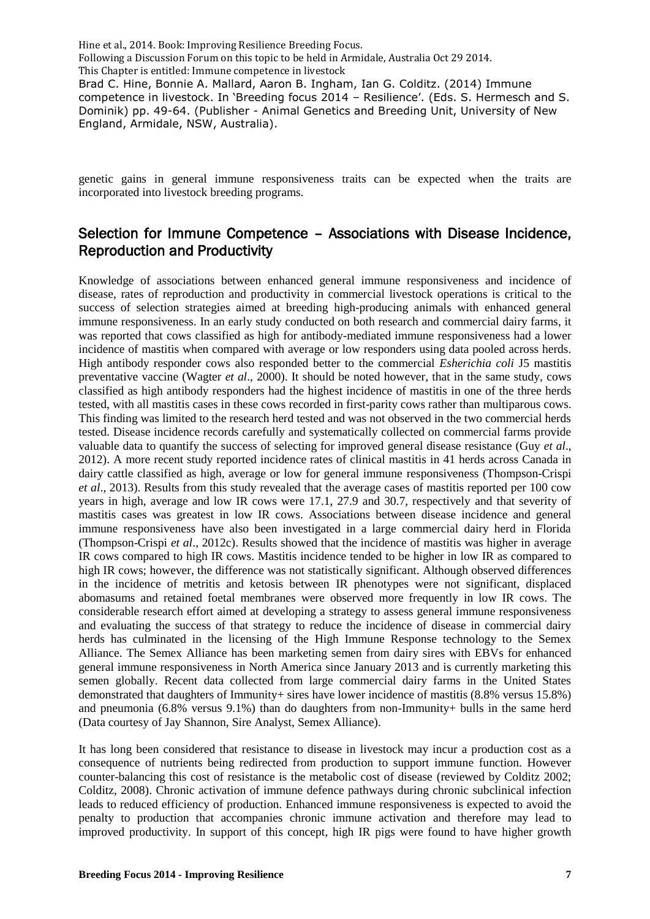genetic gains in general immune responsiveness traits can be expected when the traits are incorporated into livestock breeding programs.

## Selection for Immune Competence – Associations with Disease Incidence, Reproduction and Productivity

Knowledge of associations between enhanced general immune responsiveness and incidence of disease, rates of reproduction and productivity in commercial livestock operations is critical to the success of selection strategies aimed at breeding high-producing animals with enhanced general immune responsiveness. In an early study conducted on both research and commercial dairy farms, it was reported that cows classified as high for antibody-mediated immune responsiveness had a lower incidence of mastitis when compared with average or low responders using data pooled across herds. High antibody responder cows also responded better to the commercial *Esherichia coli* J5 mastitis preventative vaccine (Wagter *et al*., 2000). It should be noted however, that in the same study, cows classified as high antibody responders had the highest incidence of mastitis in one of the three herds tested, with all mastitis cases in these cows recorded in first-parity cows rather than multiparous cows. This finding was limited to the research herd tested and was not observed in the two commercial herds tested. Disease incidence records carefully and systematically collected on commercial farms provide valuable data to quantify the success of selecting for improved general disease resistance (Guy *et al*., 2012). A more recent study reported incidence rates of clinical mastitis in 41 herds across Canada in dairy cattle classified as high, average or low for general immune responsiveness (Thompson-Crispi *et al*., 2013). Results from this study revealed that the average cases of mastitis reported per 100 cow years in high, average and low IR cows were 17.1, 27.9 and 30.7, respectively and that severity of mastitis cases was greatest in low IR cows. Associations between disease incidence and general immune responsiveness have also been investigated in a large commercial dairy herd in Florida (Thompson-Crispi *et al*., 2012c). Results showed that the incidence of mastitis was higher in average IR cows compared to high IR cows. Mastitis incidence tended to be higher in low IR as compared to high IR cows; however, the difference was not statistically significant. Although observed differences in the incidence of metritis and ketosis between IR phenotypes were not significant, displaced abomasums and retained foetal membranes were observed more frequently in low IR cows. The considerable research effort aimed at developing a strategy to assess general immune responsiveness and evaluating the success of that strategy to reduce the incidence of disease in commercial dairy herds has culminated in the licensing of the High Immune Response technology to the Semex Alliance. The Semex Alliance has been marketing semen from dairy sires with EBVs for enhanced general immune responsiveness in North America since January 2013 and is currently marketing this semen globally. Recent data collected from large commercial dairy farms in the United States demonstrated that daughters of Immunity+ sires have lower incidence of mastitis (8.8% versus 15.8%) and pneumonia (6.8% versus 9.1%) than do daughters from non-Immunity+ bulls in the same herd (Data courtesy of Jay Shannon, Sire Analyst, Semex Alliance).

It has long been considered that resistance to disease in livestock may incur a production cost as a consequence of nutrients being redirected from production to support immune function. However counter-balancing this cost of resistance is the metabolic cost of disease (reviewed by Colditz 2002; Colditz, 2008). Chronic activation of immune defence pathways during chronic subclinical infection leads to reduced efficiency of production. Enhanced immune responsiveness is expected to avoid the penalty to production that accompanies chronic immune activation and therefore may lead to improved productivity. In support of this concept, high IR pigs were found to have higher growth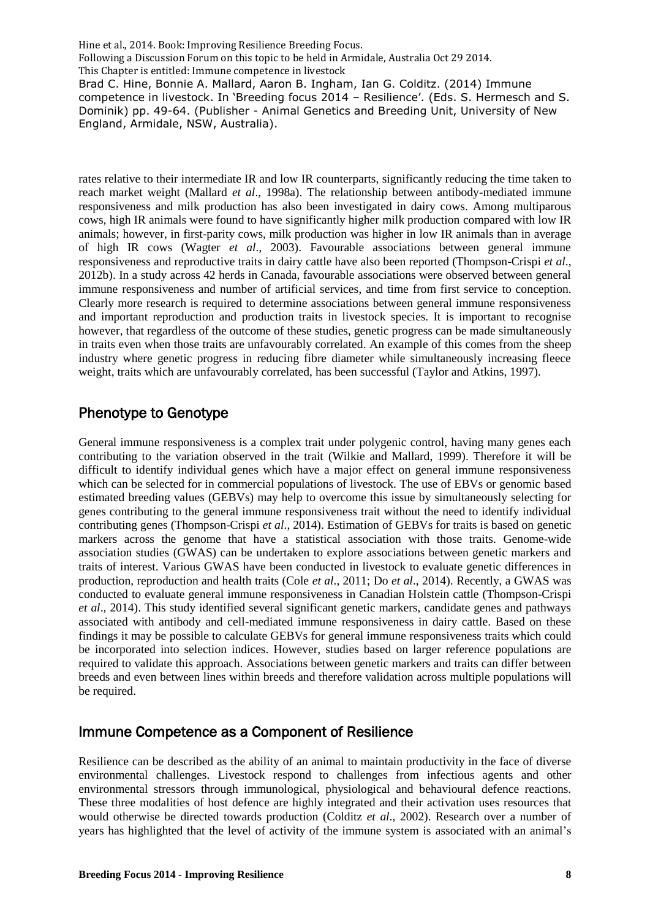rates relative to their intermediate IR and low IR counterparts, significantly reducing the time taken to reach market weight (Mallard *et al*., 1998a). The relationship between antibody-mediated immune responsiveness and milk production has also been investigated in dairy cows. Among multiparous cows, high IR animals were found to have significantly higher milk production compared with low IR animals; however, in first-parity cows, milk production was higher in low IR animals than in average of high IR cows (Wagter *et al*., 2003). Favourable associations between general immune responsiveness and reproductive traits in dairy cattle have also been reported (Thompson-Crispi *et al*., 2012b). In a study across 42 herds in Canada, favourable associations were observed between general immune responsiveness and number of artificial services, and time from first service to conception. Clearly more research is required to determine associations between general immune responsiveness and important reproduction and production traits in livestock species. It is important to recognise however, that regardless of the outcome of these studies, genetic progress can be made simultaneously in traits even when those traits are unfavourably correlated. An example of this comes from the sheep industry where genetic progress in reducing fibre diameter while simultaneously increasing fleece weight, traits which are unfavourably correlated, has been successful (Taylor and Atkins, 1997).

# Phenotype to Genotype

General immune responsiveness is a complex trait under polygenic control, having many genes each contributing to the variation observed in the trait (Wilkie and Mallard, 1999). Therefore it will be difficult to identify individual genes which have a major effect on general immune responsiveness which can be selected for in commercial populations of livestock. The use of EBVs or genomic based estimated breeding values (GEBVs) may help to overcome this issue by simultaneously selecting for genes contributing to the general immune responsiveness trait without the need to identify individual contributing genes (Thompson-Crispi *et al*., 2014). Estimation of GEBVs for traits is based on genetic markers across the genome that have a statistical association with those traits. Genome-wide association studies (GWAS) can be undertaken to explore associations between genetic markers and traits of interest. Various GWAS have been conducted in livestock to evaluate genetic differences in production, reproduction and health traits (Cole *et al*., 2011; Do *et al*., 2014). Recently, a GWAS was conducted to evaluate general immune responsiveness in Canadian Holstein cattle (Thompson-Crispi *et al*., 2014). This study identified several significant genetic markers, candidate genes and pathways associated with antibody and cell-mediated immune responsiveness in dairy cattle. Based on these findings it may be possible to calculate GEBVs for general immune responsiveness traits which could be incorporated into selection indices. However, studies based on larger reference populations are required to validate this approach. Associations between genetic markers and traits can differ between breeds and even between lines within breeds and therefore validation across multiple populations will be required.

### Immune Competence as a Component of Resilience

Resilience can be described as the ability of an animal to maintain productivity in the face of diverse environmental challenges. Livestock respond to challenges from infectious agents and other environmental stressors through immunological, physiological and behavioural defence reactions. These three modalities of host defence are highly integrated and their activation uses resources that would otherwise be directed towards production (Colditz *et al*., 2002). Research over a number of years has highlighted that the level of activity of the immune system is associated with an animal's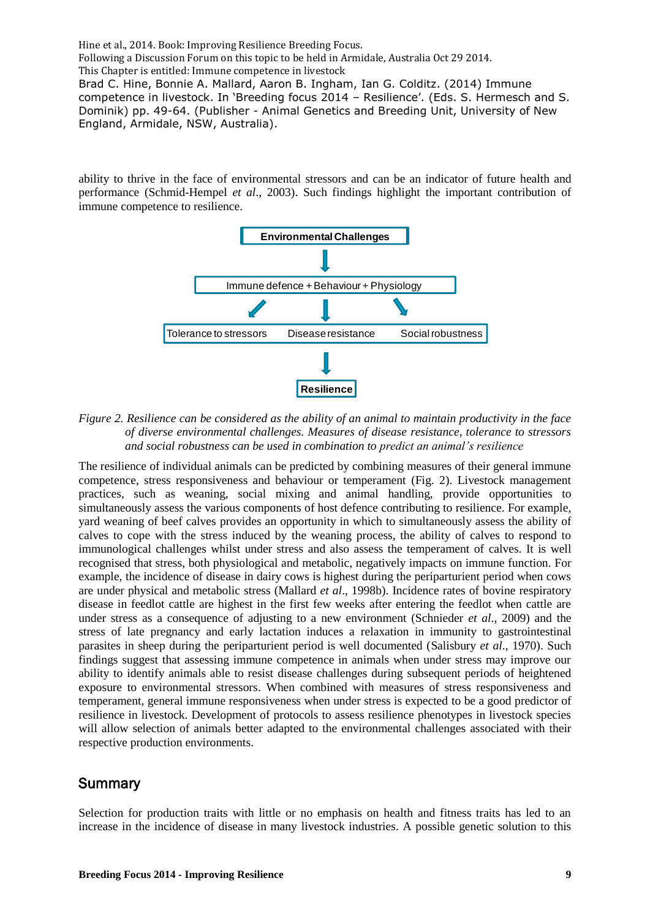competence in livestock. In 'Breeding focus 2014 – Resilience'. (Eds. S. Hermesch and S. Dominik) pp. 49-64. (Publisher - Animal Genetics and Breeding Unit, University of New England, Armidale, NSW, Australia).

ability to thrive in the face of environmental stressors and can be an indicator of future health and performance (Schmid-Hempel *et al*., 2003). Such findings highlight the important contribution of immune competence to resilience.



*Figure 2. Resilience can be considered as the ability of an animal to maintain productivity in the face of diverse environmental challenges. Measures of disease resistance, tolerance to stressors and social robustness can be used in combination to predict an animal's resilience*

The resilience of individual animals can be predicted by combining measures of their general immune competence, stress responsiveness and behaviour or temperament (Fig. 2). Livestock management practices, such as weaning, social mixing and animal handling, provide opportunities to simultaneously assess the various components of host defence contributing to resilience. For example, yard weaning of beef calves provides an opportunity in which to simultaneously assess the ability of calves to cope with the stress induced by the weaning process, the ability of calves to respond to immunological challenges whilst under stress and also assess the temperament of calves. It is well recognised that stress, both physiological and metabolic, negatively impacts on immune function. For example, the incidence of disease in dairy cows is highest during the periparturient period when cows are under physical and metabolic stress (Mallard *et al*., 1998b). Incidence rates of bovine respiratory disease in feedlot cattle are highest in the first few weeks after entering the feedlot when cattle are under stress as a consequence of adjusting to a new environment (Schnieder *et al*., 2009) and the stress of late pregnancy and early lactation induces a relaxation in immunity to gastrointestinal parasites in sheep during the periparturient period is well documented (Salisbury *et al*., 1970). Such findings suggest that assessing immune competence in animals when under stress may improve our ability to identify animals able to resist disease challenges during subsequent periods of heightened exposure to environmental stressors. When combined with measures of stress responsiveness and temperament, general immune responsiveness when under stress is expected to be a good predictor of resilience in livestock. Development of protocols to assess resilience phenotypes in livestock species will allow selection of animals better adapted to the environmental challenges associated with their respective production environments.

#### **Summary**

Selection for production traits with little or no emphasis on health and fitness traits has led to an increase in the incidence of disease in many livestock industries. A possible genetic solution to this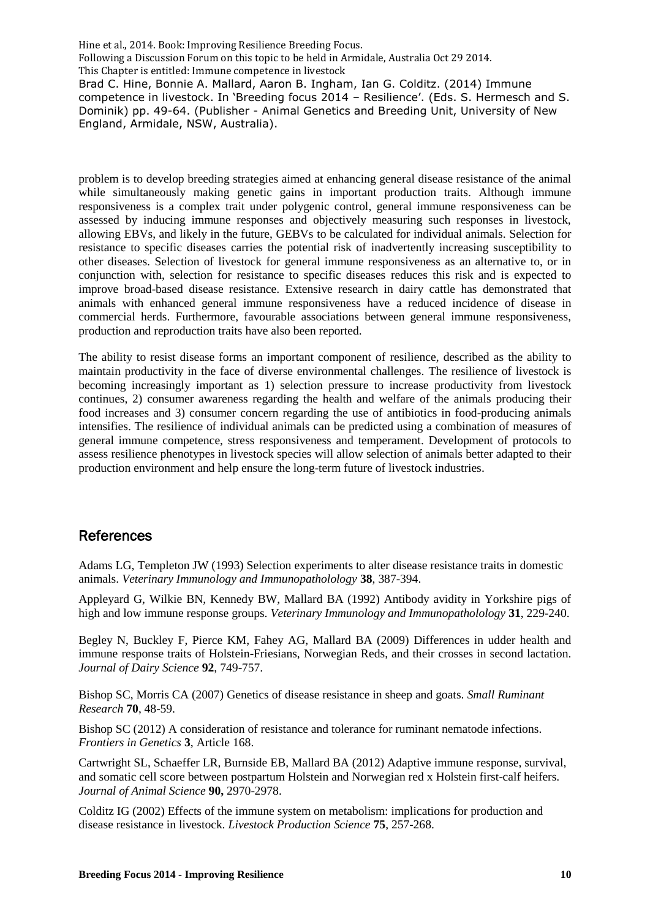problem is to develop breeding strategies aimed at enhancing general disease resistance of the animal while simultaneously making genetic gains in important production traits. Although immune responsiveness is a complex trait under polygenic control, general immune responsiveness can be assessed by inducing immune responses and objectively measuring such responses in livestock, allowing EBVs, and likely in the future, GEBVs to be calculated for individual animals. Selection for resistance to specific diseases carries the potential risk of inadvertently increasing susceptibility to other diseases. Selection of livestock for general immune responsiveness as an alternative to, or in conjunction with, selection for resistance to specific diseases reduces this risk and is expected to improve broad-based disease resistance. Extensive research in dairy cattle has demonstrated that animals with enhanced general immune responsiveness have a reduced incidence of disease in commercial herds. Furthermore, favourable associations between general immune responsiveness, production and reproduction traits have also been reported.

The ability to resist disease forms an important component of resilience, described as the ability to maintain productivity in the face of diverse environmental challenges. The resilience of livestock is becoming increasingly important as 1) selection pressure to increase productivity from livestock continues, 2) consumer awareness regarding the health and welfare of the animals producing their food increases and 3) consumer concern regarding the use of antibiotics in food-producing animals intensifies. The resilience of individual animals can be predicted using a combination of measures of general immune competence, stress responsiveness and temperament. Development of protocols to assess resilience phenotypes in livestock species will allow selection of animals better adapted to their production environment and help ensure the long-term future of livestock industries.

### References

Adams LG, Templeton JW (1993) Selection experiments to alter disease resistance traits in domestic animals. *Veterinary Immunology and Immunopatholology* **38**, 387-394.

Appleyard G, Wilkie BN, Kennedy BW, Mallard BA (1992) Antibody avidity in Yorkshire pigs of high and low immune response groups. *Veterinary Immunology and Immunopatholology* **31**, 229-240.

Begley N, Buckley F, Pierce KM, Fahey AG, Mallard BA (2009) Differences in udder health and immune response traits of Holstein-Friesians, Norwegian Reds, and their crosses in second lactation. *Journal of Dairy Science* **92**, 749-757.

Bishop SC, Morris CA (2007) Genetics of disease resistance in sheep and goats. *Small Ruminant Research* **70**, 48-59.

Bishop SC (2012) A consideration of resistance and tolerance for ruminant nematode infections. *Frontiers in Genetics* **3**, Article 168.

Cartwright SL, Schaeffer LR, Burnside EB, Mallard BA (2012) Adaptive immune response, survival, and somatic cell score between postpartum Holstein and Norwegian red x Holstein first-calf heifers. *Journal of Animal Science* **90,** 2970-2978.

Colditz IG (2002) Effects of the immune system on metabolism: implications for production and disease resistance in livestock. *Livestock Production Science* **75**, 257-268.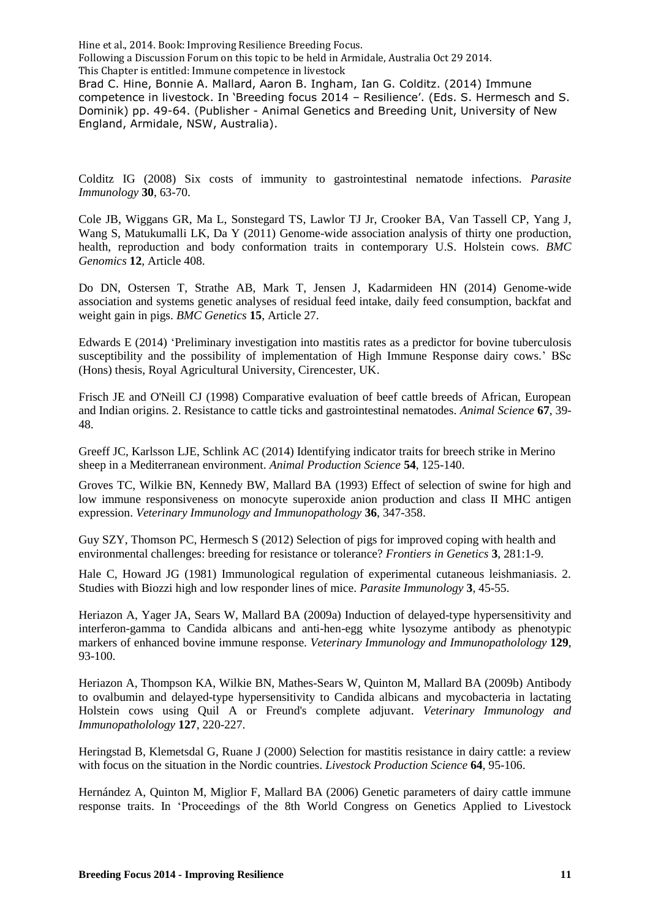competence in livestock. In 'Breeding focus 2014 – Resilience'. (Eds. S. Hermesch and S. Dominik) pp. 49-64. (Publisher - Animal Genetics and Breeding Unit, University of New England, Armidale, NSW, Australia).

Colditz IG (2008) Six costs of immunity to gastrointestinal nematode infections. *Parasite Immunology* **30**, 63-70.

[Cole JB,](http://www.ncbi.nlm.nih.gov/pubmed?term=Cole%20JB%5BAuthor%5D&cauthor=true&cauthor_uid=21831322) [Wiggans GR,](http://www.ncbi.nlm.nih.gov/pubmed?term=Wiggans%20GR%5BAuthor%5D&cauthor=true&cauthor_uid=21831322) [Ma L,](http://www.ncbi.nlm.nih.gov/pubmed?term=Ma%20L%5BAuthor%5D&cauthor=true&cauthor_uid=21831322) [Sonstegard TS,](http://www.ncbi.nlm.nih.gov/pubmed?term=Sonstegard%20TS%5BAuthor%5D&cauthor=true&cauthor_uid=21831322) [Lawlor TJ Jr,](http://www.ncbi.nlm.nih.gov/pubmed?term=Lawlor%20TJ%20Jr%5BAuthor%5D&cauthor=true&cauthor_uid=21831322) [Crooker BA,](http://www.ncbi.nlm.nih.gov/pubmed?term=Crooker%20BA%5BAuthor%5D&cauthor=true&cauthor_uid=21831322) [Van Tassell CP,](http://www.ncbi.nlm.nih.gov/pubmed?term=Van%20Tassell%20CP%5BAuthor%5D&cauthor=true&cauthor_uid=21831322) [Yang J,](http://www.ncbi.nlm.nih.gov/pubmed?term=Yang%20J%5BAuthor%5D&cauthor=true&cauthor_uid=21831322) [Wang S,](http://www.ncbi.nlm.nih.gov/pubmed?term=Wang%20S%5BAuthor%5D&cauthor=true&cauthor_uid=21831322) [Matukumalli LK,](http://www.ncbi.nlm.nih.gov/pubmed?term=Matukumalli%20LK%5BAuthor%5D&cauthor=true&cauthor_uid=21831322) [Da Y](http://www.ncbi.nlm.nih.gov/pubmed?term=Da%20Y%5BAuthor%5D&cauthor=true&cauthor_uid=21831322) (2011) Genome-wide association analysis of thirty one production, health, reproduction and body conformation traits in contemporary U.S. Holstein cows. *BMC Genomics* **12**, Article 408.

[Do DN,](http://www.ncbi.nlm.nih.gov/pubmed?term=Do%20DN%5BAuthor%5D&cauthor=true&cauthor_uid=24533460) [Ostersen T,](http://www.ncbi.nlm.nih.gov/pubmed?term=Ostersen%20T%5BAuthor%5D&cauthor=true&cauthor_uid=24533460) [Strathe AB,](http://www.ncbi.nlm.nih.gov/pubmed?term=Strathe%20AB%5BAuthor%5D&cauthor=true&cauthor_uid=24533460) [Mark T,](http://www.ncbi.nlm.nih.gov/pubmed?term=Mark%20T%5BAuthor%5D&cauthor=true&cauthor_uid=24533460) [Jensen J,](http://www.ncbi.nlm.nih.gov/pubmed?term=Jensen%20J%5BAuthor%5D&cauthor=true&cauthor_uid=24533460) [Kadarmideen HN](http://www.ncbi.nlm.nih.gov/pubmed?term=Kadarmideen%20HN%5BAuthor%5D&cauthor=true&cauthor_uid=24533460) (2014) Genome-wide association and systems genetic analyses of residual feed intake, daily feed consumption, backfat and weight gain in pigs. *BMC Genetics* **15**, Article 27.

Edwards E (2014) 'Preliminary investigation into mastitis rates as a predictor for bovine tuberculosis susceptibility and the possibility of implementation of High Immune Response dairy cows.' BSc (Hons) thesis, Royal Agricultural University, Cirencester, UK.

Frisch JE and O'Neill CJ (1998) Comparative evaluation of beef cattle breeds of African, European and Indian origins. 2. Resistance to cattle ticks and gastrointestinal nematodes. *Animal Science* **67**, 39- 48.

Greeff JC, Karlsson LJE, Schlink AC (2014) Identifying indicator traits for breech strike in Merino sheep in a Mediterranean environment. *Animal Production Science* **54**, 125-140.

Groves TC, Wilkie BN, Kennedy BW, Mallard BA (1993) Effect of selection of swine for high and low immune responsiveness on monocyte superoxide anion production and class II MHC antigen expression. *Veterinary Immunology and Immunopathology* **36**, 347-358.

Guy SZY, Thomson PC, Hermesch S (2012) Selection of pigs for improved coping with health and environmental challenges: breeding for resistance or tolerance? *Frontiers in Genetics* **3**, 281:1-9.

Hale C, Howard JG (1981) Immunological regulation of experimental cutaneous leishmaniasis. 2. Studies with Biozzi high and low responder lines of mice. *Parasite Immunology* **3**, 45-55.

Heriazon A, Yager JA, Sears W, Mallard BA (2009a) Induction of delayed-type hypersensitivity and interferon-gamma to Candida albicans and anti-hen-egg white lysozyme antibody as phenotypic markers of enhanced bovine immune response. *Veterinary Immunology and Immunopatholology* **129**, 93-100.

Heriazon A, Thompson KA, Wilkie BN, Mathes-Sears W, Quinton M, Mallard BA (2009b) Antibody to ovalbumin and delayed-type hypersensitivity to Candida albicans and mycobacteria in lactating Holstein cows using Quil A or Freund's complete adjuvant. *Veterinary Immunology and Immunopatholology* **127**, 220-227.

Heringstad B, Klemetsdal G, Ruane J (2000) Selection for mastitis resistance in dairy cattle: a review with focus on the situation in the Nordic countries. *Livestock Production Science* **64**, 95-106.

Hernández A, Quinton M, Miglior F, Mallard BA (2006) Genetic parameters of dairy cattle immune response traits. In 'Proceedings of the 8th World Congress on Genetics Applied to Livestock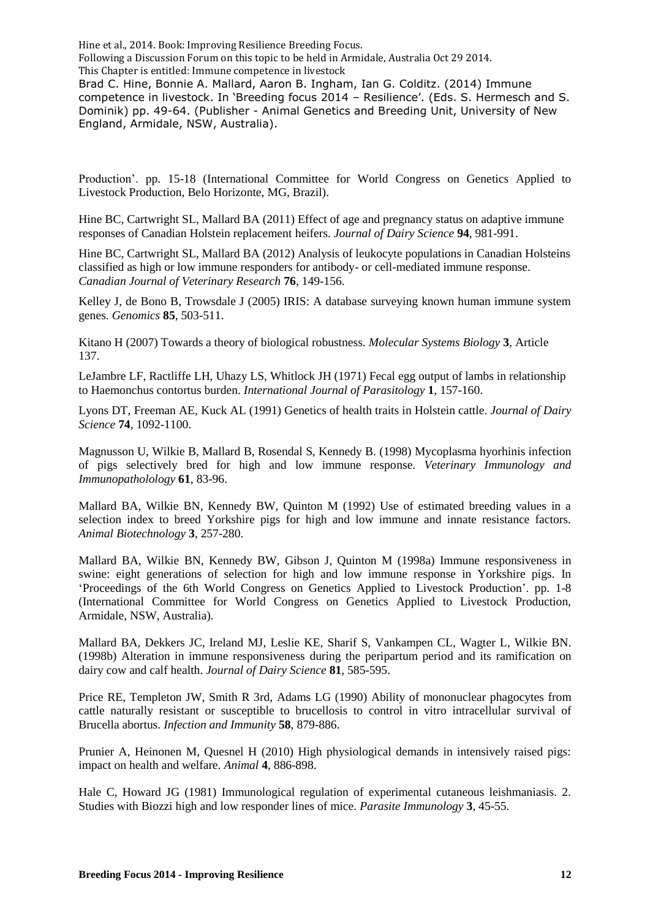Hine et al., 2014. Book: Improving Resilience Breeding Focus. Following a Discussion Forum on this topic to be held in Armidale, Australia Oct 29 2014. This Chapter is entitled: Immune competence in livestock

Brad C. Hine, Bonnie A. Mallard, Aaron B. Ingham, Ian G. Colditz. (2014) Immune competence in livestock. In 'Breeding focus 2014 – Resilience'. (Eds. S. Hermesch and S. Dominik) pp. 49-64. (Publisher - Animal Genetics and Breeding Unit, University of New England, Armidale, NSW, Australia).

Production'. pp. 15-18 (International Committee for World Congress on Genetics Applied to Livestock Production, Belo Horizonte, MG, Brazil).

Hine BC, Cartwright SL, Mallard BA (2011) Effect of age and pregnancy status on adaptive immune responses of Canadian Holstein replacement heifers. *Journal of Dairy Science* **94**, 981-991.

Hine BC, Cartwright SL, Mallard BA (2012) Analysis of leukocyte populations in Canadian Holsteins classified as high or low immune responders for antibody- or cell-mediated immune response. *Canadian Journal of Veterinary Research* **76**, 149-156.

Kelley J, de Bono B, Trowsdale J (2005) IRIS: A database surveying known human immune system genes. *Genomics* **85**, 503-511.

Kitano H (2007) Towards a theory of biological robustness. *Molecular Systems Biology* **3**, Article 137.

LeJambre LF, Ractliffe LH, Uhazy LS, Whitlock JH (1971) Fecal egg output of lambs in relationship to Haemonchus contortus burden. *International Journal of Parasitology* **1**, 157-160.

Lyons DT, Freeman AE, Kuck AL (1991) Genetics of health traits in Holstein cattle. *Journal of Dairy Science* **74**, 1092-1100.

Magnusson U, Wilkie B, Mallard B, Rosendal S, Kennedy B. (1998) Mycoplasma hyorhinis infection of pigs selectively bred for high and low immune response. *Veterinary Immunology and Immunopatholology* **61**, 83-96.

Mallard BA, Wilkie BN, Kennedy BW, Quinton M (1992) Use of estimated breeding values in a selection index to breed Yorkshire pigs for high and low immune and innate resistance factors. *Animal Biotechnology* **3**, 257-280.

Mallard BA, Wilkie BN, Kennedy BW, Gibson J, Quinton M (1998a) Immune responsiveness in swine: eight generations of selection for high and low immune response in Yorkshire pigs. In 'Proceedings of the 6th World Congress on Genetics Applied to Livestock Production'. pp. 1-8 (International Committee for World Congress on Genetics Applied to Livestock Production, Armidale, NSW, Australia).

[Mallard BA,](http://www.ncbi.nlm.nih.gov/pubmed?term=Mallard%20BA%5BAuthor%5D&cauthor=true&cauthor_uid=9532513) [Dekkers JC,](http://www.ncbi.nlm.nih.gov/pubmed?term=Dekkers%20JC%5BAuthor%5D&cauthor=true&cauthor_uid=9532513) [Ireland MJ,](http://www.ncbi.nlm.nih.gov/pubmed?term=Ireland%20MJ%5BAuthor%5D&cauthor=true&cauthor_uid=9532513) [Leslie KE,](http://www.ncbi.nlm.nih.gov/pubmed?term=Leslie%20KE%5BAuthor%5D&cauthor=true&cauthor_uid=9532513) [Sharif S,](http://www.ncbi.nlm.nih.gov/pubmed?term=Sharif%20S%5BAuthor%5D&cauthor=true&cauthor_uid=9532513) [Vankampen CL,](http://www.ncbi.nlm.nih.gov/pubmed?term=Vankampen%20CL%5BAuthor%5D&cauthor=true&cauthor_uid=9532513) [Wagter L,](http://www.ncbi.nlm.nih.gov/pubmed?term=Wagter%20L%5BAuthor%5D&cauthor=true&cauthor_uid=9532513) [Wilkie BN.](http://www.ncbi.nlm.nih.gov/pubmed?term=Wilkie%20BN%5BAuthor%5D&cauthor=true&cauthor_uid=9532513) (1998b) Alteration in immune responsiveness during the peripartum period and its ramification on dairy cow and calf health. *Journal of Dairy Science* **81**, 585-595.

Price RE, Templeton JW, Smith R 3rd, Adams LG (1990) Ability of mononuclear phagocytes from cattle naturally resistant or susceptible to brucellosis to control in vitro intracellular survival of Brucella abortus. *Infection and Immunity* **58**, 879-886.

Prunier A, Heinonen M, Quesnel H (2010) High physiological demands in intensively raised pigs: impact on health and welfare. *Animal* **4**, 886-898.

Hale C, Howard JG (1981) Immunological regulation of experimental cutaneous leishmaniasis. 2. Studies with Biozzi high and low responder lines of mice. *Parasite Immunology* **3**, 45-55.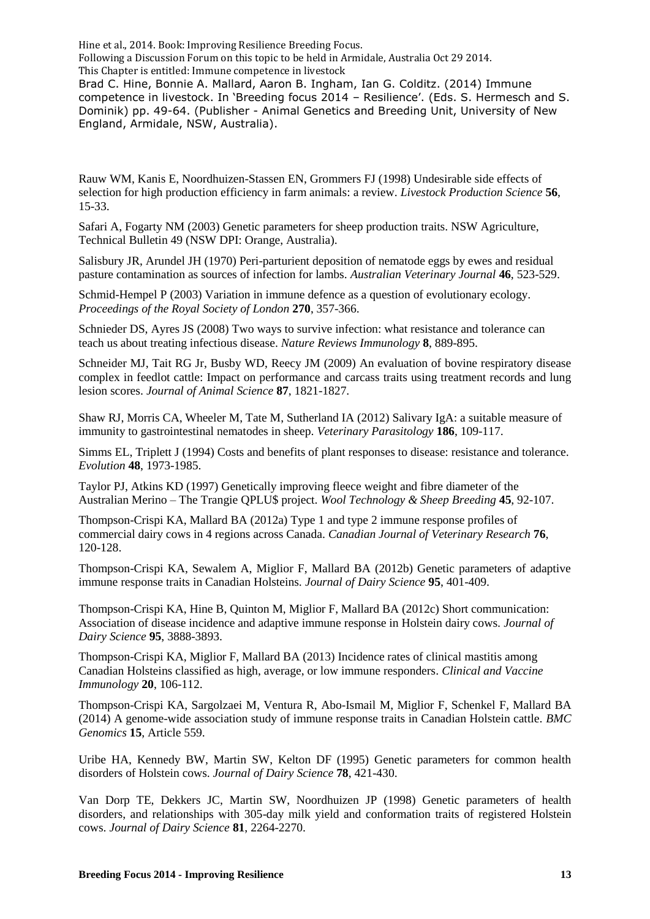Hine et al., 2014. Book: Improving Resilience Breeding Focus. Following a Discussion Forum on this topic to be held in Armidale, Australia Oct 29 2014. This Chapter is entitled: Immune competence in livestock

Brad C. Hine, Bonnie A. Mallard, Aaron B. Ingham, Ian G. Colditz. (2014) Immune competence in livestock. In 'Breeding focus 2014 – Resilience'. (Eds. S. Hermesch and S. Dominik) pp. 49-64. (Publisher - Animal Genetics and Breeding Unit, University of New England, Armidale, NSW, Australia).

Rauw WM, Kanis E, Noordhuizen-Stassen EN, Grommers FJ (1998) Undesirable side effects of selection for high production efficiency in farm animals: a review. *Livestock Production Science* **56**, 15-33.

Safari A, Fogarty NM (2003) Genetic parameters for sheep production traits. NSW Agriculture, Technical Bulletin 49 (NSW DPI: Orange, Australia).

Salisbury JR, Arundel JH (1970) Peri-parturient deposition of nematode eggs by ewes and residual pasture contamination as sources of infection for lambs. *Australian Veterinary Journal* **46**, 523-529.

Schmid-Hempel P (2003) Variation in immune defence as a question of evolutionary ecology. *Proceedings of the Royal Society of London* **270**, 357-366.

Schnieder DS, Ayres JS (2008) Two ways to survive infection: what resistance and tolerance can teach us about treating infectious disease. *Nature Reviews Immunology* **8**, 889-895.

[Schneider MJ,](http://www.ncbi.nlm.nih.gov/pubmed?term=Schneider%20MJ%5BAuthor%5D&cauthor=true&cauthor_uid=19181770) [Tait RG Jr,](http://www.ncbi.nlm.nih.gov/pubmed?term=Tait%20RG%20Jr%5BAuthor%5D&cauthor=true&cauthor_uid=19181770) [Busby WD,](http://www.ncbi.nlm.nih.gov/pubmed?term=Busby%20WD%5BAuthor%5D&cauthor=true&cauthor_uid=19181770) [Reecy JM](http://www.ncbi.nlm.nih.gov/pubmed?term=Reecy%20JM%5BAuthor%5D&cauthor=true&cauthor_uid=19181770) (2009) An evaluation of bovine respiratory disease complex in feedlot cattle: Impact on performance and carcass traits using treatment records and lung lesion scores. *Journal of Animal Science* **87**, 1821-1827.

Shaw RJ, Morris CA, Wheeler M, Tate M, Sutherland IA (2012) Salivary IgA: a suitable measure of immunity to gastrointestinal nematodes in sheep. *Veterinary Parasitology* **186**, 109-117.

Simms EL, Triplett J (1994) Costs and benefits of plant responses to disease: resistance and tolerance. *Evolution* **48**, 1973-1985.

Taylor PJ, Atkins KD (1997) Genetically improving fleece weight and fibre diameter of the Australian Merino – The Trangie QPLU\$ project. *Wool Technology & Sheep Breeding* **45**, 92-107.

Thompson-Crispi KA, Mallard BA (2012a) Type 1 and type 2 immune response profiles of commercial dairy cows in 4 regions across Canada. *Canadian Journal of Veterinary Research* **76**, 120-128.

Thompson-Crispi KA, Sewalem A, Miglior F, Mallard BA (2012b) Genetic parameters of adaptive immune response traits in Canadian Holsteins. *Journal of Dairy Science* **95**, 401-409.

Thompson-Crispi KA, Hine B, Quinton M, Miglior F, Mallard BA (2012c) Short communication: Association of disease incidence and adaptive immune response in Holstein dairy cows. *Journal of Dairy Science* **95**, 3888-3893.

Thompson-Crispi KA, Miglior F, Mallard BA (2013) Incidence rates of clinical mastitis among Canadian Holsteins classified as high, average, or low immune responders. *Clinical and Vaccine Immunology* **20**, 106-112.

[Thompson-Crispi KA,](http://www.ncbi.nlm.nih.gov/pubmed?term=Thompson-Crispi%20KA%5BAuthor%5D&cauthor=true&cauthor_uid=24996426) [Sargolzaei M,](http://www.ncbi.nlm.nih.gov/pubmed?term=Sargolzaei%20M%5BAuthor%5D&cauthor=true&cauthor_uid=24996426) [Ventura R,](http://www.ncbi.nlm.nih.gov/pubmed?term=Ventura%20R%5BAuthor%5D&cauthor=true&cauthor_uid=24996426) [Abo-Ismail M,](http://www.ncbi.nlm.nih.gov/pubmed?term=Abo-Ismail%20M%5BAuthor%5D&cauthor=true&cauthor_uid=24996426) [Miglior F,](http://www.ncbi.nlm.nih.gov/pubmed?term=Miglior%20F%5BAuthor%5D&cauthor=true&cauthor_uid=24996426) [Schenkel F,](http://www.ncbi.nlm.nih.gov/pubmed?term=Schenkel%20F%5BAuthor%5D&cauthor=true&cauthor_uid=24996426) [Mallard BA](http://www.ncbi.nlm.nih.gov/pubmed?term=Mallard%20BA%5BAuthor%5D&cauthor=true&cauthor_uid=24996426) (2014) A genome-wide association study of immune response traits in Canadian Holstein cattle. *BMC Genomics* **15**, Article 559.

Uribe HA, Kennedy BW, Martin SW, Kelton DF (1995) Genetic parameters for common health disorders of Holstein cows. *Journal of Dairy Science* **78**, 421-430.

Van Dorp TE, Dekkers JC, Martin SW, Noordhuizen JP (1998) Genetic parameters of health disorders, and relationships with 305-day milk yield and conformation traits of registered Holstein cows. *Journal of Dairy Science* **81**, 2264-2270.